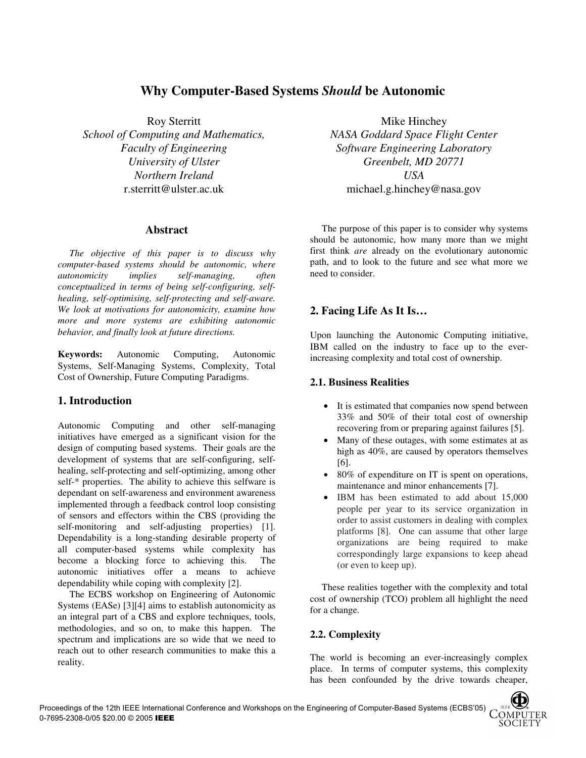# **Why Computer-Based Systems** *Should* **be Autonomic**

Roy Sterritt *School of Computing and Mathematics, Faculty of Engineering University of Ulster Northern Ireland*  r.sterritt@ulster.ac.uk

## **Abstract**

*The objective of this paper is to discuss why computer-based systems should be autonomic, where autonomicity implies self-managing, often conceptualized in terms of being self-configuring, selfhealing, self-optimising, self-protecting and self-aware. We look at motivations for autonomicity, examine how more and more systems are exhibiting autonomic behavior, and finally look at future directions.* 

**Keywords:** Autonomic Computing, Autonomic Systems, Self-Managing Systems, Complexity, Total Cost of Ownership, Future Computing Paradigms.

## **1. Introduction**

Autonomic Computing and other self-managing initiatives have emerged as a significant vision for the design of computing based systems. Their goals are the development of systems that are self-configuring, selfhealing, self-protecting and self-optimizing, among other self-\* properties. The ability to achieve this selfware is dependant on self-awareness and environment awareness implemented through a feedback control loop consisting of sensors and effectors within the CBS (providing the self-monitoring and self-adjusting properties) [1]. Dependability is a long-standing desirable property of all computer-based systems while complexity has become a blocking force to achieving this. The autonomic initiatives offer a means to achieve dependability while coping with complexity [2].

The ECBS workshop on Engineering of Autonomic Systems (EASe) [3][4] aims to establish autonomicity as an integral part of a CBS and explore techniques, tools, methodologies, and so on, to make this happen. The spectrum and implications are so wide that we need to reach out to other research communities to make this a reality.

Mike Hinchey *NASA Goddard Space Flight Center Software Engineering Laboratory Greenbelt, MD 20771 USA* michael.g.hinchey@nasa.gov

The purpose of this paper is to consider why systems should be autonomic, how many more than we might first think *are* already on the evolutionary autonomic path, and to look to the future and see what more we need to consider.

## **2. Facing Life As It Is…**

Upon launching the Autonomic Computing initiative, IBM called on the industry to face up to the everincreasing complexity and total cost of ownership.

## **2.1. Business Realities**

- It is estimated that companies now spend between 33% and 50% of their total cost of ownership recovering from or preparing against failures [5].
- Many of these outages, with some estimates at as high as 40%, are caused by operators themselves [6].
- 80% of expenditure on IT is spent on operations, maintenance and minor enhancements [7].
- IBM has been estimated to add about 15,000 people per year to its service organization in order to assist customers in dealing with complex platforms [8]. One can assume that other large organizations are being required to make correspondingly large expansions to keep ahead (or even to keep up).

These realities together with the complexity and total cost of ownership (TCO) problem all highlight the need for a change.

## **2.2. Complexity**

The world is becoming an ever-increasingly complex place. In terms of computer systems, this complexity has been confounded by the drive towards cheaper,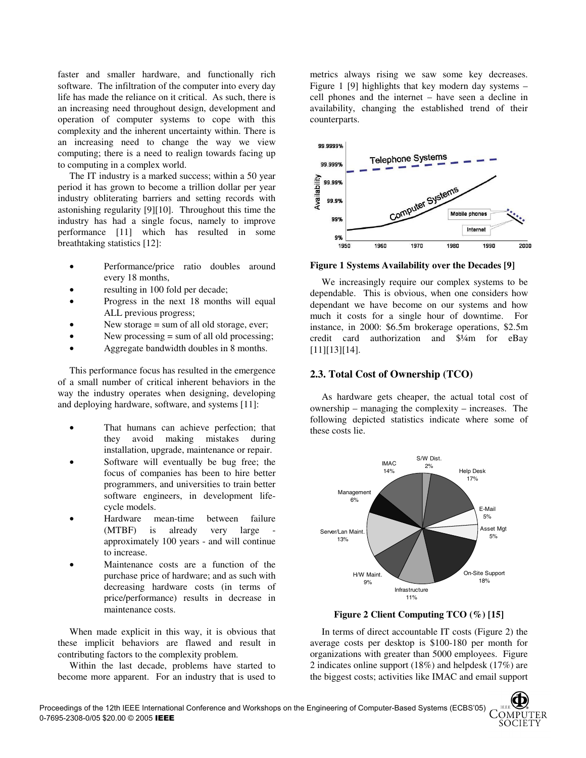faster and smaller hardware, and functionally rich software. The infiltration of the computer into every day life has made the reliance on it critical. As such, there is an increasing need throughout design, development and operation of computer systems to cope with this complexity and the inherent uncertainty within. There is an increasing need to change the way we view computing; there is a need to realign towards facing up to computing in a complex world.

The IT industry is a marked success; within a 50 year period it has grown to become a trillion dollar per year industry obliterating barriers and setting records with astonishing regularity [9][10]. Throughout this time the industry has had a single focus, namely to improve performance [11] which has resulted in some breathtaking statistics [12]:

- Performance/price ratio doubles around every 18 months,
- resulting in 100 fold per decade;
- Progress in the next 18 months will equal ALL previous progress;
- New storage = sum of all old storage, ever;
- New processing = sum of all old processing;
- Aggregate bandwidth doubles in 8 months.

This performance focus has resulted in the emergence of a small number of critical inherent behaviors in the way the industry operates when designing, developing and deploying hardware, software, and systems [11]:

- That humans can achieve perfection; that they avoid making mistakes during installation, upgrade, maintenance or repair.
- Software will eventually be bug free; the focus of companies has been to hire better programmers, and universities to train better software engineers, in development lifecycle models.
- Hardware mean-time between failure  $(MTBF)$  is already very large approximately 100 years - and will continue to increase.
- Maintenance costs are a function of the purchase price of hardware; and as such with decreasing hardware costs (in terms of price/performance) results in decrease in maintenance costs.

When made explicit in this way, it is obvious that these implicit behaviors are flawed and result in contributing factors to the complexity problem.

Within the last decade, problems have started to become more apparent. For an industry that is used to metrics always rising we saw some key decreases. Figure 1 [9] highlights that key modern day systems – cell phones and the internet – have seen a decline in availability, changing the established trend of their counterparts.



#### **Figure 1 Systems Availability over the Decades [9]**

We increasingly require our complex systems to be dependable. This is obvious, when one considers how dependant we have become on our systems and how much it costs for a single hour of downtime. For instance, in 2000: \$6.5m brokerage operations, \$2.5m credit card authorization and \$¼m for eBay [11][13][14].

## **2.3. Total Cost of Ownership (TCO)**

As hardware gets cheaper, the actual total cost of ownership – managing the complexity – increases. The following depicted statistics indicate where some of these costs lie.



**Figure 2 Client Computing TCO (%) [15]** 

In terms of direct accountable IT costs (Figure 2) the average costs per desktop is \$100-180 per month for organizations with greater than 5000 employees. Figure 2 indicates online support (18%) and helpdesk (17%) are the biggest costs; activities like IMAC and email support

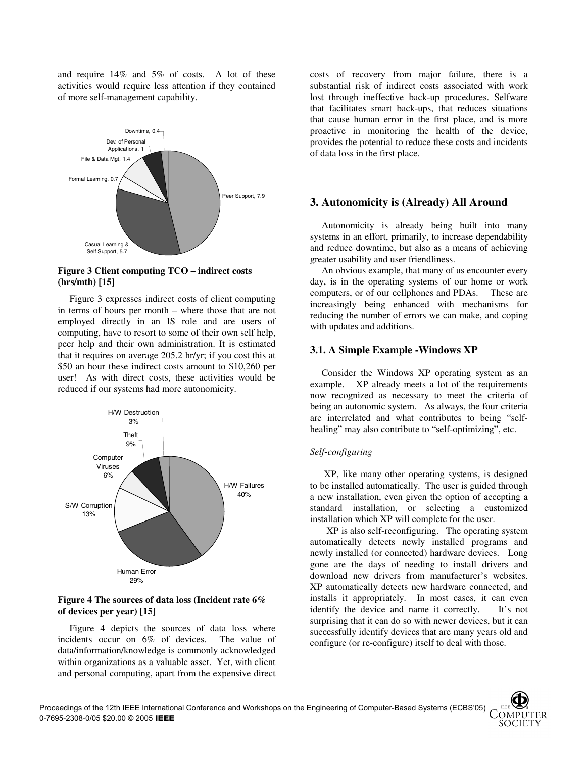and require 14% and 5% of costs. A lot of these activities would require less attention if they contained of more self-management capability.



## **Figure 3 Client computing TCO – indirect costs (hrs/mth) [15]**

Figure 3 expresses indirect costs of client computing in terms of hours per month – where those that are not employed directly in an IS role and are users of computing, have to resort to some of their own self help, peer help and their own administration. It is estimated that it requires on average 205.2 hr/yr; if you cost this at \$50 an hour these indirect costs amount to \$10,260 per user! As with direct costs, these activities would be reduced if our systems had more autonomicity.



#### **Figure 4 The sources of data loss (Incident rate 6% of devices per year) [15]**

Figure 4 depicts the sources of data loss where incidents occur on 6% of devices. The value of data/information/knowledge is commonly acknowledged within organizations as a valuable asset. Yet, with client and personal computing, apart from the expensive direct costs of recovery from major failure, there is a substantial risk of indirect costs associated with work lost through ineffective back-up procedures. Selfware that facilitates smart back-ups, that reduces situations that cause human error in the first place, and is more proactive in monitoring the health of the device, provides the potential to reduce these costs and incidents of data loss in the first place.

## **3. Autonomicity is (Already) All Around**

Autonomicity is already being built into many systems in an effort, primarily, to increase dependability and reduce downtime, but also as a means of achieving greater usability and user friendliness.

An obvious example, that many of us encounter every day, is in the operating systems of our home or work computers, or of our cellphones and PDAs. These are increasingly being enhanced with mechanisms for reducing the number of errors we can make, and coping with updates and additions.

## **3.1. A Simple Example -Windows XP**

Consider the Windows XP operating system as an example. XP already meets a lot of the requirements now recognized as necessary to meet the criteria of being an autonomic system. As always, the four criteria are interrelated and what contributes to being "selfhealing" may also contribute to "self-optimizing", etc.

## *Self***-***configuring*

 XP, like many other operating systems, is designed to be installed automatically. The user is guided through a new installation, even given the option of accepting a standard installation, or selecting a customized installation which XP will complete for the user.

 XP is also self-reconfiguring. The operating system automatically detects newly installed programs and newly installed (or connected) hardware devices. Long gone are the days of needing to install drivers and download new drivers from manufacturer's websites. XP automatically detects new hardware connected, and installs it appropriately. In most cases, it can even identify the device and name it correctly. It's not surprising that it can do so with newer devices, but it can successfully identify devices that are many years old and configure (or re-configure) itself to deal with those.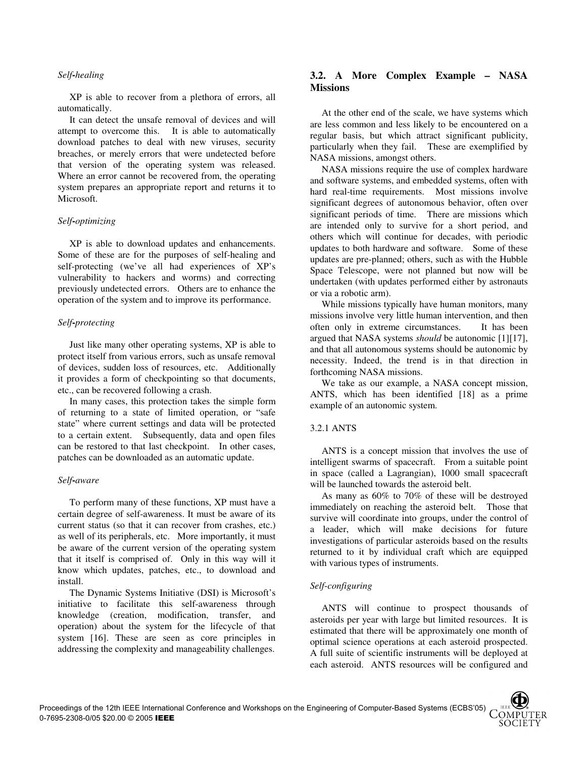#### *Self***-***healing*

XP is able to recover from a plethora of errors, all automatically.

It can detect the unsafe removal of devices and will attempt to overcome this. It is able to automatically download patches to deal with new viruses, security breaches, or merely errors that were undetected before that version of the operating system was released. Where an error cannot be recovered from, the operating system prepares an appropriate report and returns it to Microsoft.

#### *Self***-***optimizing*

XP is able to download updates and enhancements. Some of these are for the purposes of self-healing and self-protecting (we've all had experiences of XP's vulnerability to hackers and worms) and correcting previously undetected errors. Others are to enhance the operation of the system and to improve its performance.

#### *Self***-***protecting*

Just like many other operating systems, XP is able to protect itself from various errors, such as unsafe removal of devices, sudden loss of resources, etc. Additionally it provides a form of checkpointing so that documents, etc., can be recovered following a crash.

In many cases, this protection takes the simple form of returning to a state of limited operation, or "safe state" where current settings and data will be protected to a certain extent. Subsequently, data and open files can be restored to that last checkpoint. In other cases, patches can be downloaded as an automatic update.

#### *Self***-***aware*

To perform many of these functions, XP must have a certain degree of self-awareness. It must be aware of its current status (so that it can recover from crashes, etc.) as well of its peripherals, etc. More importantly, it must be aware of the current version of the operating system that it itself is comprised of. Only in this way will it know which updates, patches, etc., to download and install.

The Dynamic Systems Initiative (DSI) is Microsoft's initiative to facilitate this self-awareness through knowledge (creation, modification, transfer, and operation) about the system for the lifecycle of that system [16]. These are seen as core principles in addressing the complexity and manageability challenges.

## **3.2. A More Complex Example – NASA Missions**

At the other end of the scale, we have systems which are less common and less likely to be encountered on a regular basis, but which attract significant publicity, particularly when they fail. These are exemplified by NASA missions, amongst others.

NASA missions require the use of complex hardware and software systems, and embedded systems, often with hard real-time requirements. Most missions involve significant degrees of autonomous behavior, often over significant periods of time. There are missions which are intended only to survive for a short period, and others which will continue for decades, with periodic updates to both hardware and software. Some of these updates are pre-planned; others, such as with the Hubble Space Telescope, were not planned but now will be undertaken (with updates performed either by astronauts or via a robotic arm).

While missions typically have human monitors, many missions involve very little human intervention, and then often only in extreme circumstances. It has been argued that NASA systems *should* be autonomic [1][17], and that all autonomous systems should be autonomic by necessity. Indeed, the trend is in that direction in forthcoming NASA missions.

We take as our example, a NASA concept mission, ANTS, which has been identified [18] as a prime example of an autonomic system.

### 3.2.1 ANTS

ANTS is a concept mission that involves the use of intelligent swarms of spacecraft. From a suitable point in space (called a Lagrangian), 1000 small spacecraft will be launched towards the asteroid belt.

As many as 60% to 70% of these will be destroyed immediately on reaching the asteroid belt. Those that survive will coordinate into groups, under the control of a leader, which will make decisions for future investigations of particular asteroids based on the results returned to it by individual craft which are equipped with various types of instruments.

#### *Self*-*configuring*

ANTS will continue to prospect thousands of asteroids per year with large but limited resources. It is estimated that there will be approximately one month of optimal science operations at each asteroid prospected. A full suite of scientific instruments will be deployed at each asteroid. ANTS resources will be configured and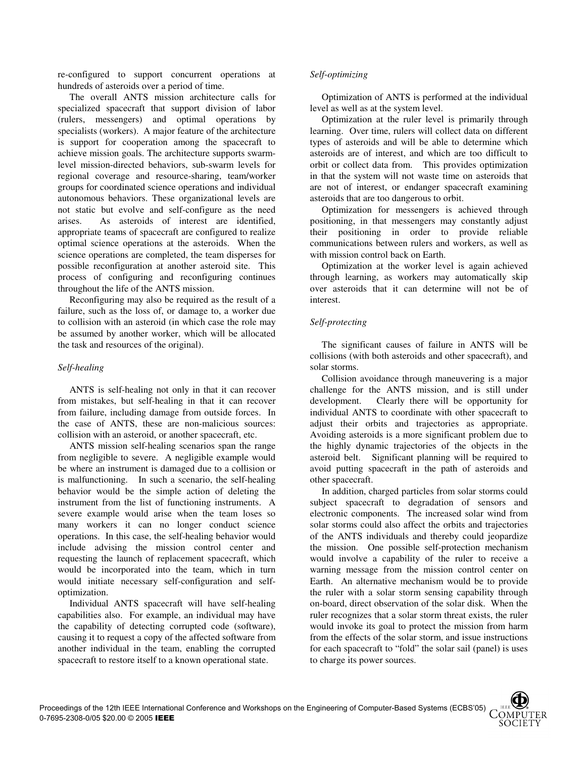re-configured to support concurrent operations at hundreds of asteroids over a period of time.

The overall ANTS mission architecture calls for specialized spacecraft that support division of labor (rulers, messengers) and optimal operations by specialists (workers). A major feature of the architecture is support for cooperation among the spacecraft to achieve mission goals. The architecture supports swarmlevel mission-directed behaviors, sub-swarm levels for regional coverage and resource-sharing, team/worker groups for coordinated science operations and individual autonomous behaviors. These organizational levels are not static but evolve and self-configure as the need arises. As asteroids of interest are identified, appropriate teams of spacecraft are configured to realize optimal science operations at the asteroids. When the science operations are completed, the team disperses for possible reconfiguration at another asteroid site. This process of configuring and reconfiguring continues throughout the life of the ANTS mission.

Reconfiguring may also be required as the result of a failure, such as the loss of, or damage to, a worker due to collision with an asteroid (in which case the role may be assumed by another worker, which will be allocated the task and resources of the original).

## *Self*-*healing*

ANTS is self-healing not only in that it can recover from mistakes, but self-healing in that it can recover from failure, including damage from outside forces. In the case of ANTS, these are non-malicious sources: collision with an asteroid, or another spacecraft, etc.

ANTS mission self-healing scenarios span the range from negligible to severe. A negligible example would be where an instrument is damaged due to a collision or is malfunctioning. In such a scenario, the self-healing behavior would be the simple action of deleting the instrument from the list of functioning instruments. A severe example would arise when the team loses so many workers it can no longer conduct science operations. In this case, the self-healing behavior would include advising the mission control center and requesting the launch of replacement spacecraft, which would be incorporated into the team, which in turn would initiate necessary self-configuration and selfoptimization.

Individual ANTS spacecraft will have self-healing capabilities also. For example, an individual may have the capability of detecting corrupted code (software), causing it to request a copy of the affected software from another individual in the team, enabling the corrupted spacecraft to restore itself to a known operational state.

### *Self*-*optimizing*

Optimization of ANTS is performed at the individual level as well as at the system level.

Optimization at the ruler level is primarily through learning. Over time, rulers will collect data on different types of asteroids and will be able to determine which asteroids are of interest, and which are too difficult to orbit or collect data from. This provides optimization in that the system will not waste time on asteroids that are not of interest, or endanger spacecraft examining asteroids that are too dangerous to orbit.

Optimization for messengers is achieved through positioning, in that messengers may constantly adjust their positioning in order to provide reliable communications between rulers and workers, as well as with mission control back on Earth.

Optimization at the worker level is again achieved through learning, as workers may automatically skip over asteroids that it can determine will not be of interest.

## *Self*-*protecting*

The significant causes of failure in ANTS will be collisions (with both asteroids and other spacecraft), and solar storms.

Collision avoidance through maneuvering is a major challenge for the ANTS mission, and is still under development. Clearly there will be opportunity for individual ANTS to coordinate with other spacecraft to adjust their orbits and trajectories as appropriate. Avoiding asteroids is a more significant problem due to the highly dynamic trajectories of the objects in the asteroid belt. Significant planning will be required to avoid putting spacecraft in the path of asteroids and other spacecraft.

In addition, charged particles from solar storms could subject spacecraft to degradation of sensors and electronic components. The increased solar wind from solar storms could also affect the orbits and trajectories of the ANTS individuals and thereby could jeopardize the mission. One possible self-protection mechanism would involve a capability of the ruler to receive a warning message from the mission control center on Earth. An alternative mechanism would be to provide the ruler with a solar storm sensing capability through on-board, direct observation of the solar disk. When the ruler recognizes that a solar storm threat exists, the ruler would invoke its goal to protect the mission from harm from the effects of the solar storm, and issue instructions for each spacecraft to "fold" the solar sail (panel) is uses to charge its power sources.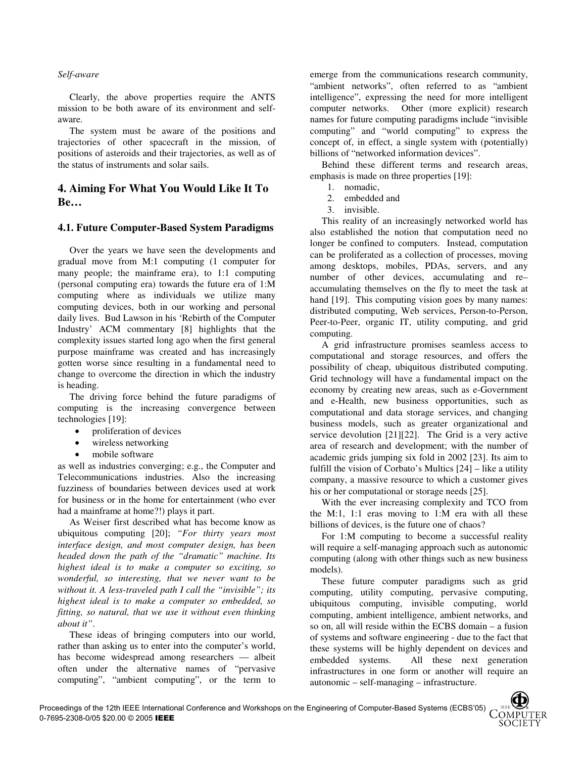#### *Self*-*aware*

Clearly, the above properties require the ANTS mission to be both aware of its environment and selfaware.

The system must be aware of the positions and trajectories of other spacecraft in the mission, of positions of asteroids and their trajectories, as well as of the status of instruments and solar sails.

## **4. Aiming For What You Would Like It To Be…**

## **4.1. Future Computer-Based System Paradigms**

Over the years we have seen the developments and gradual move from M:1 computing (1 computer for many people; the mainframe era), to 1:1 computing (personal computing era) towards the future era of 1:M computing where as individuals we utilize many computing devices, both in our working and personal daily lives. Bud Lawson in his 'Rebirth of the Computer Industry' ACM commentary [8] highlights that the complexity issues started long ago when the first general purpose mainframe was created and has increasingly gotten worse since resulting in a fundamental need to change to overcome the direction in which the industry is heading.

The driving force behind the future paradigms of computing is the increasing convergence between technologies [19]:

- proliferation of devices
- wireless networking
- mobile software

as well as industries converging; e.g., the Computer and Telecommunications industries. Also the increasing fuzziness of boundaries between devices used at work for business or in the home for entertainment (who ever had a mainframe at home?!) plays it part.

As Weiser first described what has become know as ubiquitous computing [20]; *"For thirty years most interface design, and most computer design, has been headed down the path of the "dramatic" machine. Its highest ideal is to make a computer so exciting, so wonderful, so interesting, that we never want to be without it. A less-traveled path I call the "invisible"; its highest ideal is to make a computer so embedded, so fitting, so natural, that we use it without even thinking about it"*.

These ideas of bringing computers into our world, rather than asking us to enter into the computer's world, has become widespread among researchers — albeit often under the alternative names of "pervasive computing", "ambient computing", or the term to emerge from the communications research community, "ambient networks", often referred to as "ambient intelligence", expressing the need for more intelligent computer networks. Other (more explicit) research names for future computing paradigms include "invisible computing" and "world computing" to express the concept of, in effect, a single system with (potentially) billions of "networked information devices".

Behind these different terms and research areas, emphasis is made on three properties [19]:

- 1. nomadic,
- 2. embedded and
- 3. invisible.

This reality of an increasingly networked world has also established the notion that computation need no longer be confined to computers. Instead, computation can be proliferated as a collection of processes, moving among desktops, mobiles, PDAs, servers, and any number of other devices, accumulating and re*–* accumulating themselves on the fly to meet the task at hand [19]. This computing vision goes by many names: distributed computing, Web services, Person-to-Person, Peer-to-Peer, organic IT, utility computing, and grid computing.

A grid infrastructure promises seamless access to computational and storage resources, and offers the possibility of cheap, ubiquitous distributed computing. Grid technology will have a fundamental impact on the economy by creating new areas, such as e-Government and e-Health, new business opportunities, such as computational and data storage services, and changing business models, such as greater organizational and service devolution [21][22]. The Grid is a very active area of research and development; with the number of academic grids jumping six fold in 2002 [23]. Its aim to fulfill the vision of Corbato's Multics [24] – like a utility company, a massive resource to which a customer gives his or her computational or storage needs [25].

With the ever increasing complexity and TCO from the M:1, 1:1 eras moving to 1:M era with all these billions of devices, is the future one of chaos?

For 1:M computing to become a successful reality will require a self-managing approach such as autonomic computing (along with other things such as new business models).

These future computer paradigms such as grid computing, utility computing, pervasive computing, ubiquitous computing, invisible computing, world computing, ambient intelligence, ambient networks, and so on, all will reside within the ECBS domain – a fusion of systems and software engineering - due to the fact that these systems will be highly dependent on devices and embedded systems. All these next generation infrastructures in one form or another will require an autonomic – self-managing – infrastructure.